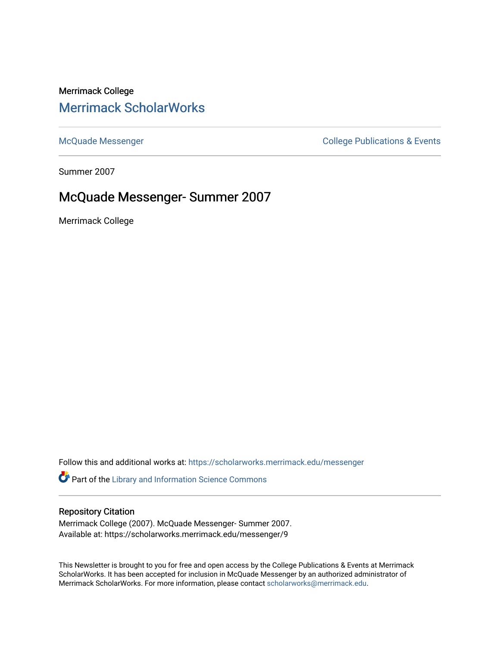# Merrimack College [Merrimack ScholarWorks](https://scholarworks.merrimack.edu/)

[McQuade Messenger](https://scholarworks.merrimack.edu/messenger) College Publications & Events

Summer 2007

## McQuade Messenger- Summer 2007

Merrimack College

Follow this and additional works at: [https://scholarworks.merrimack.edu/messenger](https://scholarworks.merrimack.edu/messenger?utm_source=scholarworks.merrimack.edu%2Fmessenger%2F9&utm_medium=PDF&utm_campaign=PDFCoverPages) 

Part of the [Library and Information Science Commons](http://network.bepress.com/hgg/discipline/1018?utm_source=scholarworks.merrimack.edu%2Fmessenger%2F9&utm_medium=PDF&utm_campaign=PDFCoverPages) 

### Repository Citation

Merrimack College (2007). McQuade Messenger- Summer 2007. Available at: https://scholarworks.merrimack.edu/messenger/9

This Newsletter is brought to you for free and open access by the College Publications & Events at Merrimack ScholarWorks. It has been accepted for inclusion in McQuade Messenger by an authorized administrator of Merrimack ScholarWorks. For more information, please contact [scholarworks@merrimack.edu](mailto:scholarworks@merrimack.edu).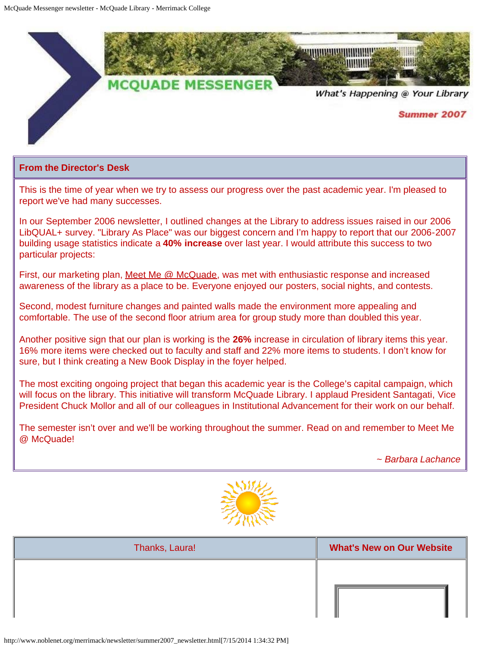

#### **From the Director's Desk**

This is the time of year when we try to assess our progress over the past academic year. I'm pleased to report we've had many successes.

In our September 2006 newsletter, I outlined changes at the Library to address issues raised in our 2006 LibQUAL+ survey. "Library As Place" was our biggest concern and I'm happy to report that our 2006-2007 building usage statistics indicate a **40% increase** over last year. I would attribute this success to two particular projects:

First, our marketing plan, [Meet Me @ McQuade,](http://www.noblenet.org/merrimack/meetme.htm) was met with enthusiastic response and increased awareness of the library as a place to be. Everyone enjoyed our posters, social nights, and contests.

Second, modest furniture changes and painted walls made the environment more appealing and comfortable. The use of the second floor atrium area for group study more than doubled this year.

Another positive sign that our plan is working is the **26%** increase in circulation of library items this year. 16% more items were checked out to faculty and staff and 22% more items to students. I don't know for sure, but I think creating a New Book Display in the foyer helped.

The most exciting ongoing project that began this academic year is the College's capital campaign, which will focus on the library. This initiative will transform McQuade Library. I applaud President Santagati, Vice President Chuck Mollor and all of our colleagues in Institutional Advancement for their work on our behalf.

The semester isn't over and we'll be working throughout the summer. Read on and remember to Meet Me @ McQuade!

*~ Barbara Lachance*



| Thanks, Laura! | <b>What's New on Our Website</b> |
|----------------|----------------------------------|
|                |                                  |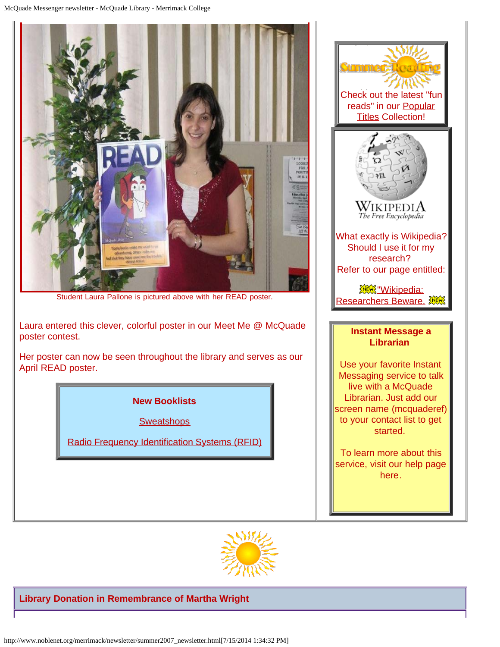

Student Laura Pallone is pictured above with her READ poster.

Laura entered this clever, colorful poster in our Meet Me @ McQuade poster contest.

Her poster can now be seen throughout the library and serves as our April READ poster.

### **New Booklists**

**[Sweatshops](http://www.noblenet.org/merrimack/booklists/sweatshops.htm)** 

[Radio Frequency Identification Systems \(RFID\)](http://www.noblenet.org/merrimack/booklists/rfidapr07.htm)



To learn more about this service, visit our help page [here.](http://www.noblenet.org/merrimack/IMus.htm)



#### **Library Donation in Remembrance of Martha Wright**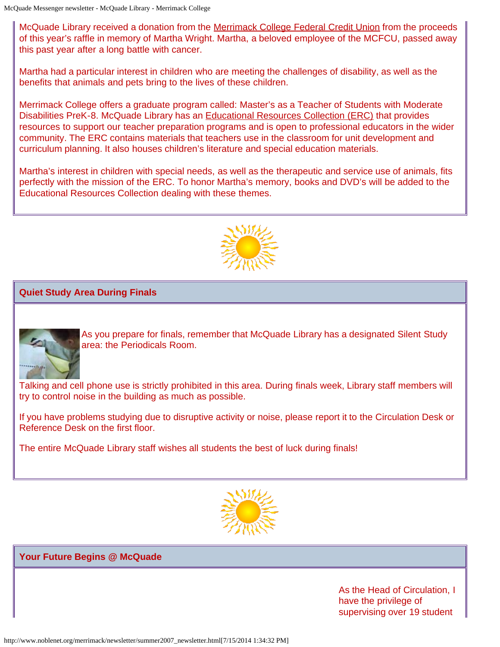McQuade Library received a donation from the [Merrimack College Federal Credit Union](http://www.merrimack.edu/generator.php?id=2506) from the proceeds of this year's raffle in memory of Martha Wright. Martha, a beloved employee of the MCFCU, passed away this past year after a long battle with cancer.

Martha had a particular interest in children who are meeting the challenges of disability, as well as the benefits that animals and pets bring to the lives of these children.

Merrimack College offers a graduate program called: Master's as a Teacher of Students with Moderate Disabilities PreK-8. McQuade Library has an [Educational Resources Collection \(ERC\)](http://www.noblenet.org/merrimack/ERC/ERChome.htm) that provides resources to support our teacher preparation programs and is open to professional educators in the wider community. The ERC contains materials that teachers use in the classroom for unit development and curriculum planning. It also houses children's literature and special education materials.

Martha's interest in children with special needs, as well as the therapeutic and service use of animals, fits perfectly with the mission of the ERC. To honor Martha's memory, books and DVD's will be added to the Educational Resources Collection dealing with these themes.



### **Quiet Study Area During Finals**



As you prepare for finals, remember that McQuade Library has a designated Silent Study area: the Periodicals Room.

Talking and cell phone use is strictly prohibited in this area. During finals week, Library staff members will try to control noise in the building as much as possible.

If you have problems studying due to disruptive activity or noise, please report it to the Circulation Desk or Reference Desk on the first floor.

The entire McQuade Library staff wishes all students the best of luck during finals!



### **Your Future Begins @ McQuade**

As the Head of Circulation, I have the privilege of supervising over 19 student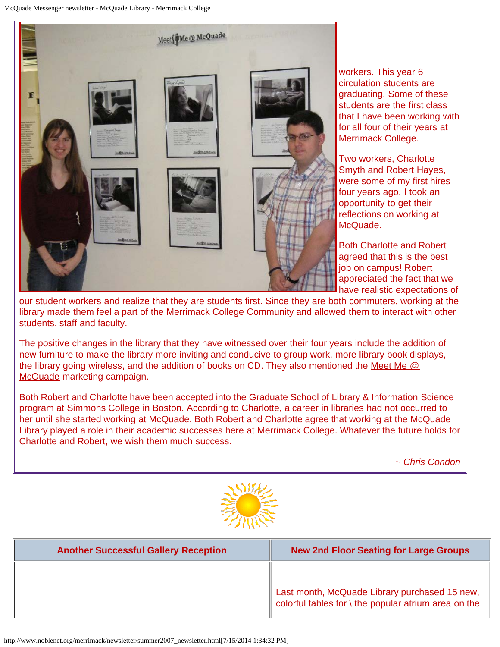

workers. This year 6 circulation students are graduating. Some of these students are the first class that I have been working with for all four of their years at Merrimack College.

Two workers, Charlotte Smyth and Robert Hayes, were some of my first hires four years ago. I took an opportunity to get their reflections on working at McQuade.

Both Charlotte and Robert agreed that this is the best job on campus! Robert appreciated the fact that we have realistic expectations of

our student workers and realize that they are students first. Since they are both commuters, working at the library made them feel a part of the Merrimack College Community and allowed them to interact with other students, staff and faculty.

The positive changes in the library that they have witnessed over their four years include the addition of new furniture to make the library more inviting and conducive to group work, more library book displays, the library going wireless, and the addition of books on CD. They also mentioned the Meet Me  $@$ [McQuade](http://www.noblenet.org/merrimack/meetme.htm) marketing campaign.

Both Robert and Charlotte have been accepted into the [Graduate School of Library & Information Science](http://www.simmons.edu/gslis/) program at Simmons College in Boston. According to Charlotte, a career in libraries had not occurred to her until she started working at McQuade. Both Robert and Charlotte agree that working at the McQuade Library played a role in their academic successes here at Merrimack College. Whatever the future holds for Charlotte and Robert, we wish them much success.

*~ Chris Condon*



| <b>Another Successful Gallery Reception</b> | <b>New 2nd Floor Seating for Large Groups</b>                                                         |
|---------------------------------------------|-------------------------------------------------------------------------------------------------------|
|                                             | Last month, McQuade Library purchased 15 new,<br>colorful tables for \ the popular atrium area on the |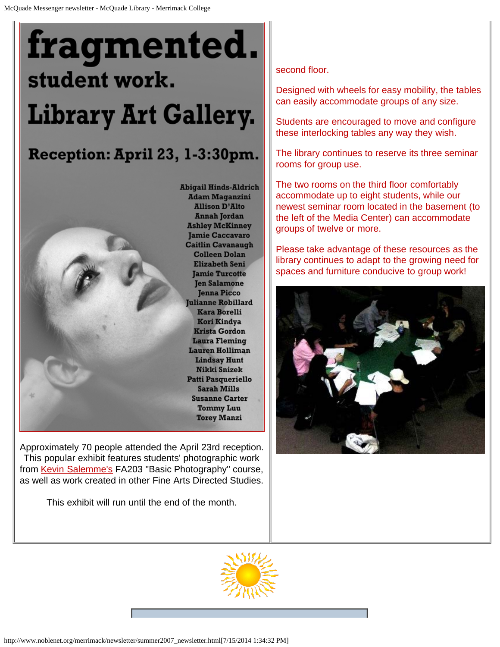

This popular exhibit features students' photographic work from [Kevin Salemme's](mailto:%20kevin.salemme@merrimack.edu) FA203 "Basic Photography" course, as well as work created in other Fine Arts Directed Studies.

This exhibit will run until the end of the month.

second floor.

Designed with wheels for easy mobility, the tables can easily accommodate groups of any size.

Students are encouraged to move and configure these interlocking tables any way they wish.

The library continues to reserve its three seminar rooms for group use.

The two rooms on the third floor comfortably accommodate up to eight students, while our newest seminar room located in the basement (to the left of the Media Center) can accommodate groups of twelve or more.

Please take advantage of these resources as the library continues to adapt to the growing need for spaces and furniture conducive to group work!